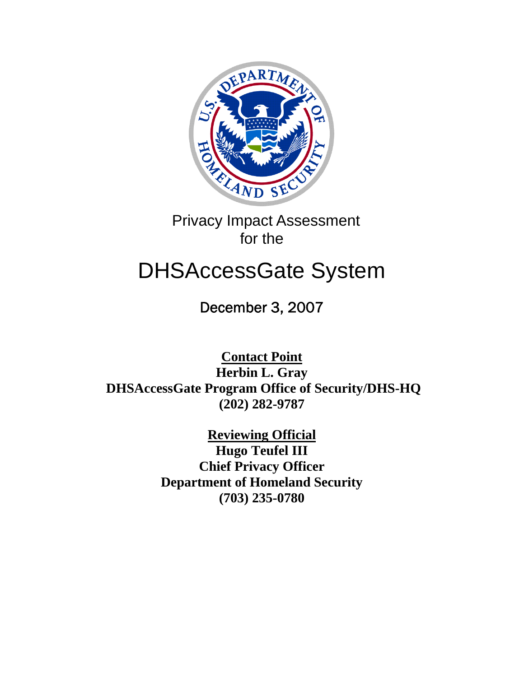

 Privacy Impact Assessment for the

# DHSAccessGate System

December 3, 2007

**Contact Point Herbin L. Gray DHSAccessGate Program Office of Security/DHS-HQ (202) 282-9787** 

> **Reviewing Official Hugo Teufel III Chief Privacy Officer Department of Homeland Security (703) 235-0780**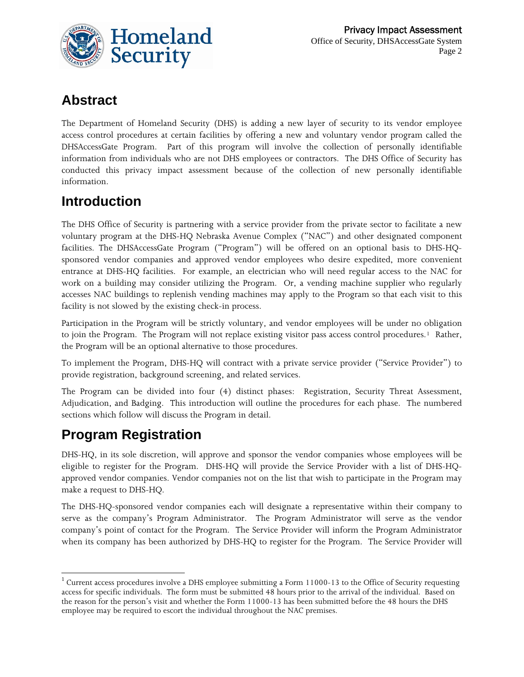

## **Abstract**

The Department of Homeland Security (DHS) is adding a new layer of security to its vendor employee access control procedures at certain facilities by offering a new and voluntary vendor program called the DHSAccessGate Program. Part of this program will involve the collection of personally identifiable information from individuals who are not DHS employees or contractors. The DHS Office of Security has conducted this privacy impact assessment because of the collection of new personally identifiable information.

## **Introduction**

The DHS Office of Security is partnering with a service provider from the private sector to facilitate a new voluntary program at the DHS-HQ Nebraska Avenue Complex ("NAC") and other designated component facilities. The DHSAccessGate Program ("Program") will be offered on an optional basis to DHS-HQsponsored vendor companies and approved vendor employees who desire expedited, more convenient entrance at DHS-HQ facilities. For example, an electrician who will need regular access to the NAC for work on a building may consider utilizing the Program. Or, a vending machine supplier who regularly accesses NAC buildings to replenish vending machines may apply to the Program so that each visit to this facility is not slowed by the existing check-in process.

Participation in the Program will be strictly voluntary, and vendor employees will be under no obligation to join the Program. The Program will not replace existing visitor pass access control procedures.<sup>[1](#page-1-0)</sup> Rather, the Program will be an optional alternative to those procedures.

To implement the Program, DHS-HQ will contract with a private service provider ("Service Provider") to provide registration, background screening, and related services.

The Program can be divided into four (4) distinct phases: Registration, Security Threat Assessment, Adjudication, and Badging. This introduction will outline the procedures for each phase. The numbered sections which follow will discuss the Program in detail.

### **Program Registration**

 $\overline{\phantom{a}}$ 

DHS-HQ, in its sole discretion, will approve and sponsor the vendor companies whose employees will be eligible to register for the Program. DHS-HQ will provide the Service Provider with a list of DHS-HQapproved vendor companies. Vendor companies not on the list that wish to participate in the Program may make a request to DHS-HQ.

The DHS-HQ-sponsored vendor companies each will designate a representative within their company to serve as the company's Program Administrator. The Program Administrator will serve as the vendor company's point of contact for the Program. The Service Provider will inform the Program Administrator when its company has been authorized by DHS-HQ to register for the Program. The Service Provider will

<span id="page-1-0"></span> $1$  Current access procedures involve a DHS employee submitting a Form 11000-13 to the Office of Security requesting access for specific individuals. The form must be submitted 48 hours prior to the arrival of the individual. Based on the reason for the person's visit and whether the Form 11000-13 has been submitted before the 48 hours the DHS employee may be required to escort the individual throughout the NAC premises.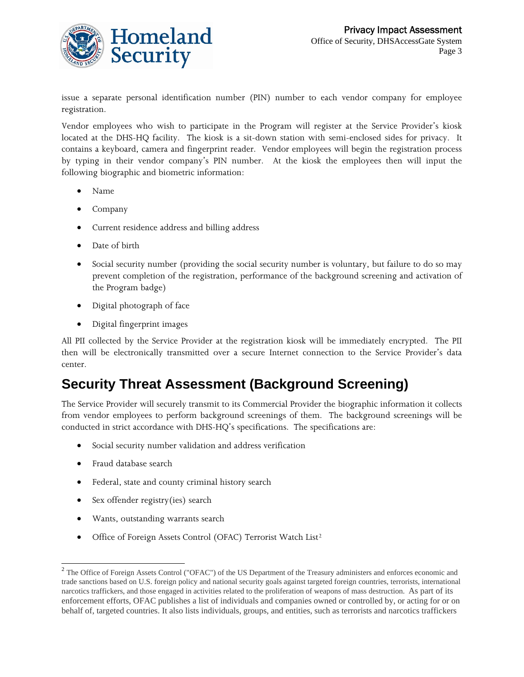

issue a separate personal identification number (PIN) number to each vendor company for employee registration.

Vendor employees who wish to participate in the Program will register at the Service Provider's kiosk located at the DHS-HQ facility. The kiosk is a sit-down station with semi-enclosed sides for privacy. It contains a keyboard, camera and fingerprint reader. Vendor employees will begin the registration process by typing in their vendor company's PIN number. At the kiosk the employees then will input the following biographic and biometric information:

- Name
- Company
- Current residence address and billing address
- Date of birth
- Social security number (providing the social security number is voluntary, but failure to do so may prevent completion of the registration, performance of the background screening and activation of the Program badge)
- Digital photograph of face
- Digital fingerprint images

All PII collected by the Service Provider at the registration kiosk will be immediately encrypted. The PII then will be electronically transmitted over a secure Internet connection to the Service Provider's data center.

### **Security Threat Assessment (Background Screening)**

The Service Provider will securely transmit to its Commercial Provider the biographic information it collects from vendor employees to perform background screenings of them. The background screenings will be conducted in strict accordance with DHS-HQ's specifications. The specifications are:

- Social security number validation and address verification
- Fraud database search

 $\overline{a}$ 

- Federal, state and county criminal history search
- Sex offender registry(ies) search
- Wants, outstanding warrants search
- Office of Foreign Assets Control (OFAC) Terrorist Watch List<sup>[2](#page-2-0)</sup>

<span id="page-2-0"></span><sup>&</sup>lt;sup>2</sup> The Office of Foreign Assets Control ("OFAC") of the US Department of the Treasury administers and enforces economic and trade sanctions based on U.S. foreign policy and national security goals against targeted foreign countries, terrorists, international narcotics traffickers, and those engaged in activities related to the proliferation of weapons of mass destruction. As part of its enforcement efforts, OFAC publishes a list of individuals and companies owned or controlled by, or acting for or on behalf of, targeted countries. It also lists individuals, groups, and entities, such as terrorists and narcotics traffickers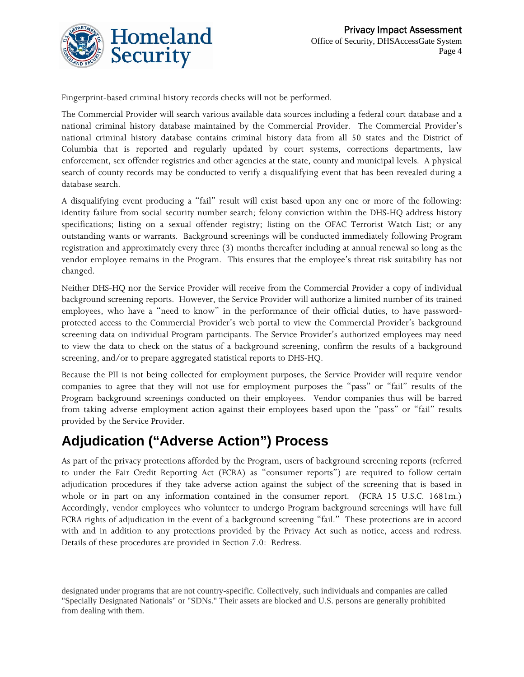

Fingerprint-based criminal history records checks will not be performed.

The Commercial Provider will search various available data sources including a federal court database and a national criminal history database maintained by the Commercial Provider. The Commercial Provider's national criminal history database contains criminal history data from all 50 states and the District of Columbia that is reported and regularly updated by court systems, corrections departments, law enforcement, sex offender registries and other agencies at the state, county and municipal levels. A physical search of county records may be conducted to verify a disqualifying event that has been revealed during a database search.

A disqualifying event producing a "fail" result will exist based upon any one or more of the following: identity failure from social security number search; felony conviction within the DHS-HQ address history specifications; listing on a sexual offender registry; listing on the OFAC Terrorist Watch List; or any outstanding wants or warrants. Background screenings will be conducted immediately following Program registration and approximately every three (3) months thereafter including at annual renewal so long as the vendor employee remains in the Program. This ensures that the employee's threat risk suitability has not changed.

Neither DHS-HQ nor the Service Provider will receive from the Commercial Provider a copy of individual background screening reports. However, the Service Provider will authorize a limited number of its trained employees, who have a "need to know" in the performance of their official duties, to have passwordprotected access to the Commercial Provider's web portal to view the Commercial Provider's background screening data on individual Program participants. The Service Provider's authorized employees may need to view the data to check on the status of a background screening, confirm the results of a background screening, and/or to prepare aggregated statistical reports to DHS-HQ.

Because the PII is not being collected for employment purposes, the Service Provider will require vendor companies to agree that they will not use for employment purposes the "pass" or "fail" results of the Program background screenings conducted on their employees. Vendor companies thus will be barred from taking adverse employment action against their employees based upon the "pass" or "fail" results provided by the Service Provider.

## **Adjudication ("Adverse Action") Process**

l

As part of the privacy protections afforded by the Program, users of background screening reports (referred to under the Fair Credit Reporting Act (FCRA) as "consumer reports") are required to follow certain adjudication procedures if they take adverse action against the subject of the screening that is based in whole or in part on any information contained in the consumer report. (FCRA 15 U.S.C. 1681m.) Accordingly, vendor employees who volunteer to undergo Program background screenings will have full FCRA rights of adjudication in the event of a background screening "fail." These protections are in accord with and in addition to any protections provided by the Privacy Act such as notice, access and redress. Details of these procedures are provided in Section 7.0: Redress.

designated under programs that are not country-specific. Collectively, such individuals and companies are called "Specially Designated Nationals" or "SDNs." Their assets are blocked and U.S. persons are generally prohibited from dealing with them.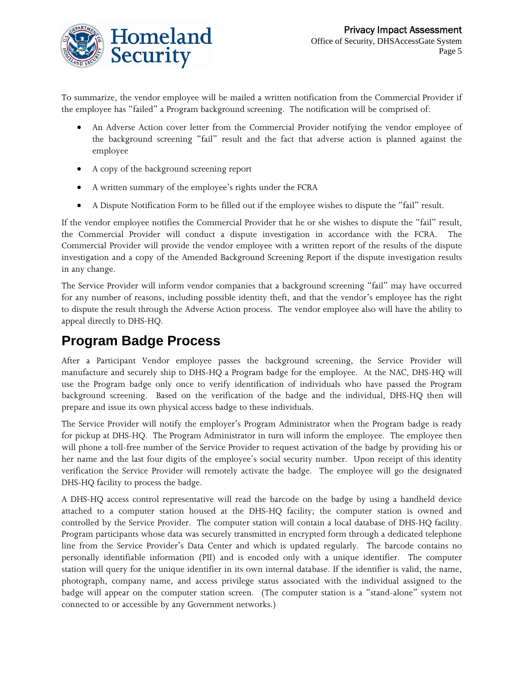

To summarize, the vendor employee will be mailed a written notification from the Commercial Provider if the employee has "failed" a Program background screening. The notification will be comprised of:

- An Adverse Action cover letter from the Commercial Provider notifying the vendor employee of the background screening "fail" result and the fact that adverse action is planned against the employee
- A copy of the background screening report
- A written summary of the employee's rights under the FCRA
- A Dispute Notification Form to be filled out if the employee wishes to dispute the "fail" result.

If the vendor employee notifies the Commercial Provider that he or she wishes to dispute the "fail" result, the Commercial Provider will conduct a dispute investigation in accordance with the FCRA. The Commercial Provider will provide the vendor employee with a written report of the results of the dispute investigation and a copy of the Amended Background Screening Report if the dispute investigation results in any change.

The Service Provider will inform vendor companies that a background screening "fail" may have occurred for any number of reasons, including possible identity theft, and that the vendor's employee has the right to dispute the result through the Adverse Action process. The vendor employee also will have the ability to appeal directly to DHS-HQ.

## **Program Badge Process**

After a Participant Vendor employee passes the background screening, the Service Provider will manufacture and securely ship to DHS-HQ a Program badge for the employee. At the NAC, DHS-HQ will use the Program badge only once to verify identification of individuals who have passed the Program background screening. Based on the verification of the badge and the individual, DHS-HQ then will prepare and issue its own physical access badge to these individuals.

The Service Provider will notify the employer's Program Administrator when the Program badge is ready for pickup at DHS-HQ. The Program Administrator in turn will inform the employee. The employee then will phone a toll-free number of the Service Provider to request activation of the badge by providing his or her name and the last four digits of the employee's social security number. Upon receipt of this identity verification the Service Provider will remotely activate the badge. The employee will go the designated DHS-HQ facility to process the badge.

A DHS-HQ access control representative will read the barcode on the badge by using a handheld device attached to a computer station housed at the DHS-HQ facility; the computer station is owned and controlled by the Service Provider. The computer station will contain a local database of DHS-HQ facility. Program participants whose data was securely transmitted in encrypted form through a dedicated telephone line from the Service Provider's Data Center and which is updated regularly. The barcode contains no personally identifiable information (PII) and is encoded only with a unique identifier. The computer station will query for the unique identifier in its own internal database. If the identifier is valid, the name, photograph, company name, and access privilege status associated with the individual assigned to the badge will appear on the computer station screen. (The computer station is a "stand-alone" system not connected to or accessible by any Government networks.)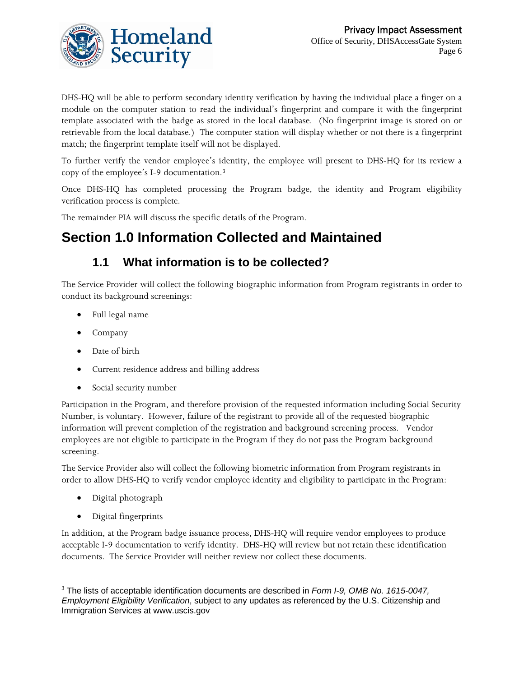

DHS-HQ will be able to perform secondary identity verification by having the individual place a finger on a module on the computer station to read the individual's fingerprint and compare it with the fingerprint template associated with the badge as stored in the local database. (No fingerprint image is stored on or retrievable from the local database.) The computer station will display whether or not there is a fingerprint match; the fingerprint template itself will not be displayed.

To further verify the vendor employee's identity, the employee will present to DHS-HQ for its review a copy of the employee's I-9 documentation.[3](#page-5-0)

Once DHS-HQ has completed processing the Program badge, the identity and Program eligibility verification process is complete.

The remainder PIA will discuss the specific details of the Program.

## **Section 1.0 Information Collected and Maintained**

#### **1.1 What information is to be collected?**

The Service Provider will collect the following biographic information from Program registrants in order to conduct its background screenings:

- Full legal name
- Company
- Date of birth
- Current residence address and billing address
- Social security number

Participation in the Program, and therefore provision of the requested information including Social Security Number, is voluntary. However, failure of the registrant to provide all of the requested biographic information will prevent completion of the registration and background screening process. Vendor employees are not eligible to participate in the Program if they do not pass the Program background screening.

The Service Provider also will collect the following biometric information from Program registrants in order to allow DHS-HQ to verify vendor employee identity and eligibility to participate in the Program:

- Digital photograph
- Digital fingerprints

In addition, at the Program badge issuance process, DHS-HQ will require vendor employees to produce acceptable I-9 documentation to verify identity. DHS-HQ will review but not retain these identification documents. The Service Provider will neither review nor collect these documents.

<span id="page-5-0"></span>l 3 The lists of acceptable identification documents are described in *Form I-9, OMB No. 1615-0047, Employment Eligibility Verification*, subject to any updates as referenced by the U.S. Citizenship and Immigration Services at www.uscis.gov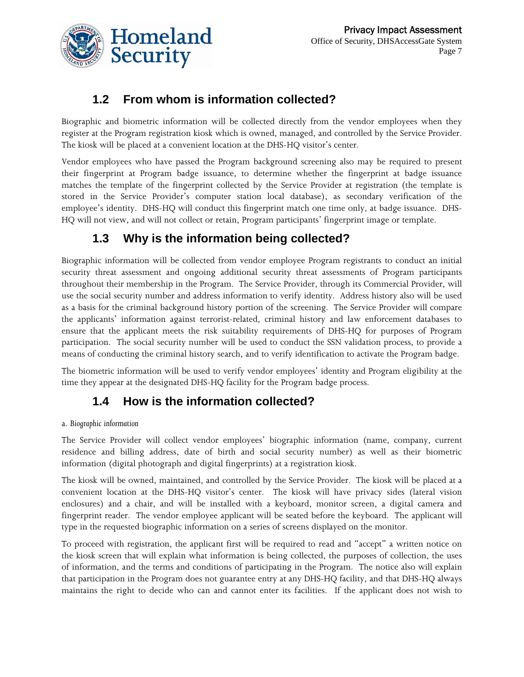### **1.2 From whom is information collected?**

Homeland

**Security** 

Biographic and biometric information will be collected directly from the vendor employees when they register at the Program registration kiosk which is owned, managed, and controlled by the Service Provider. The kiosk will be placed at a convenient location at the DHS-HQ visitor's center.

Vendor employees who have passed the Program background screening also may be required to present their fingerprint at Program badge issuance, to determine whether the fingerprint at badge issuance matches the template of the fingerprint collected by the Service Provider at registration (the template is stored in the Service Provider's computer station local database), as secondary verification of the employee's identity. DHS-HQ will conduct this fingerprint match one time only, at badge issuance. DHS-HQ will not view, and will not collect or retain, Program participants' fingerprint image or template.

### **1.3 Why is the information being collected?**

Biographic information will be collected from vendor employee Program registrants to conduct an initial security threat assessment and ongoing additional security threat assessments of Program participants throughout their membership in the Program. The Service Provider, through its Commercial Provider, will use the social security number and address information to verify identity. Address history also will be used as a basis for the criminal background history portion of the screening. The Service Provider will compare the applicants' information against terrorist-related, criminal history and law enforcement databases to ensure that the applicant meets the risk suitability requirements of DHS-HQ for purposes of Program participation. The social security number will be used to conduct the SSN validation process, to provide a means of conducting the criminal history search, and to verify identification to activate the Program badge.

The biometric information will be used to verify vendor employees' identity and Program eligibility at the time they appear at the designated DHS-HQ facility for the Program badge process.

### **1.4 How is the information collected?**

#### a. *Biographic information*

The Service Provider will collect vendor employees' biographic information (name, company, current residence and billing address, date of birth and social security number) as well as their biometric information (digital photograph and digital fingerprints) at a registration kiosk.

The kiosk will be owned, maintained, and controlled by the Service Provider. The kiosk will be placed at a convenient location at the DHS-HQ visitor's center. The kiosk will have privacy sides (lateral vision enclosures) and a chair, and will be installed with a keyboard, monitor screen, a digital camera and fingerprint reader. The vendor employee applicant will be seated before the keyboard. The applicant will type in the requested biographic information on a series of screens displayed on the monitor.

To proceed with registration, the applicant first will be required to read and "accept" a written notice on the kiosk screen that will explain what information is being collected, the purposes of collection, the uses of information, and the terms and conditions of participating in the Program. The notice also will explain that participation in the Program does not guarantee entry at any DHS-HQ facility, and that DHS-HQ always maintains the right to decide who can and cannot enter its facilities. If the applicant does not wish to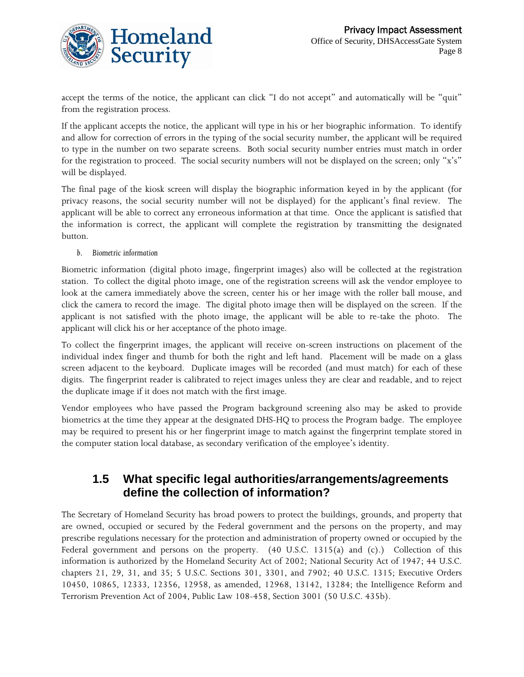

accept the terms of the notice, the applicant can click "I do not accept" and automatically will be "quit" from the registration process.

If the applicant accepts the notice, the applicant will type in his or her biographic information. To identify and allow for correction of errors in the typing of the social security number, the applicant will be required to type in the number on two separate screens. Both social security number entries must match in order for the registration to proceed. The social security numbers will not be displayed on the screen; only "x's" will be displayed.

The final page of the kiosk screen will display the biographic information keyed in by the applicant (for privacy reasons, the social security number will not be displayed) for the applicant's final review. The applicant will be able to correct any erroneous information at that time. Once the applicant is satisfied that the information is correct, the applicant will complete the registration by transmitting the designated button.

#### *b. Biometric information*

Biometric information (digital photo image, fingerprint images) also will be collected at the registration station. To collect the digital photo image, one of the registration screens will ask the vendor employee to look at the camera immediately above the screen, center his or her image with the roller ball mouse, and click the camera to record the image. The digital photo image then will be displayed on the screen. If the applicant is not satisfied with the photo image, the applicant will be able to re-take the photo. The applicant will click his or her acceptance of the photo image.

To collect the fingerprint images, the applicant will receive on-screen instructions on placement of the individual index finger and thumb for both the right and left hand. Placement will be made on a glass screen adjacent to the keyboard. Duplicate images will be recorded (and must match) for each of these digits. The fingerprint reader is calibrated to reject images unless they are clear and readable, and to reject the duplicate image if it does not match with the first image.

Vendor employees who have passed the Program background screening also may be asked to provide biometrics at the time they appear at the designated DHS-HQ to process the Program badge. The employee may be required to present his or her fingerprint image to match against the fingerprint template stored in the computer station local database, as secondary verification of the employee's identity.

#### **1.5 What specific legal authorities/arrangements/agreements define the collection of information?**

The Secretary of Homeland Security has broad powers to protect the buildings, grounds, and property that are owned, occupied or secured by the Federal government and the persons on the property, and may prescribe regulations necessary for the protection and administration of property owned or occupied by the Federal government and persons on the property. (40 U.S.C. 1315(a) and (c).) Collection of this information is authorized by the Homeland Security Act of 2002; National Security Act of 1947; 44 U.S.C. chapters 21, 29, 31, and 35; 5 U.S.C. Sections 301, 3301, and 7902; 40 U.S.C. 1315; Executive Orders 10450, 10865, 12333, 12356, 12958, as amended, 12968, 13142, 13284; the Intelligence Reform and Terrorism Prevention Act of 2004, Public Law 108-458, Section 3001 (50 U.S.C. 435b).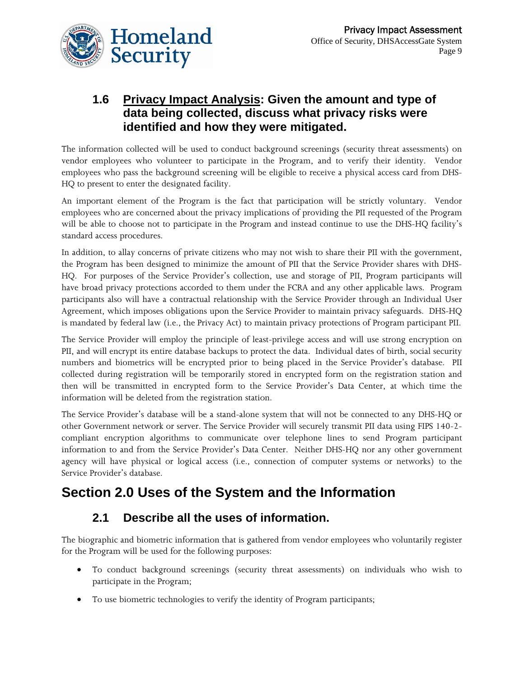

#### **1.6 Privacy Impact Analysis: Given the amount and type of data being collected, discuss what privacy risks were identified and how they were mitigated.**

The information collected will be used to conduct background screenings (security threat assessments) on vendor employees who volunteer to participate in the Program, and to verify their identity. Vendor employees who pass the background screening will be eligible to receive a physical access card from DHS-HQ to present to enter the designated facility.

An important element of the Program is the fact that participation will be strictly voluntary. Vendor employees who are concerned about the privacy implications of providing the PII requested of the Program will be able to choose not to participate in the Program and instead continue to use the DHS-HQ facility's standard access procedures.

In addition, to allay concerns of private citizens who may not wish to share their PII with the government, the Program has been designed to minimize the amount of PII that the Service Provider shares with DHS-HQ. For purposes of the Service Provider's collection, use and storage of PII, Program participants will have broad privacy protections accorded to them under the FCRA and any other applicable laws. Program participants also will have a contractual relationship with the Service Provider through an Individual User Agreement, which imposes obligations upon the Service Provider to maintain privacy safeguards. DHS-HQ is mandated by federal law (i.e., the Privacy Act) to maintain privacy protections of Program participant PII.

The Service Provider will employ the principle of least-privilege access and will use strong encryption on PII, and will encrypt its entire database backups to protect the data. Individual dates of birth, social security numbers and biometrics will be encrypted prior to being placed in the Service Provider's database. PII collected during registration will be temporarily stored in encrypted form on the registration station and then will be transmitted in encrypted form to the Service Provider's Data Center, at which time the information will be deleted from the registration station.

The Service Provider's database will be a stand-alone system that will not be connected to any DHS-HQ or other Government network or server. The Service Provider will securely transmit PII data using FIPS 140-2 compliant encryption algorithms to communicate over telephone lines to send Program participant information to and from the Service Provider's Data Center. Neither DHS-HQ nor any other government agency will have physical or logical access (i.e., connection of computer systems or networks) to the Service Provider's database.

### **Section 2.0 Uses of the System and the Information**

### **2.1 Describe all the uses of information.**

The biographic and biometric information that is gathered from vendor employees who voluntarily register for the Program will be used for the following purposes:

- To conduct background screenings (security threat assessments) on individuals who wish to participate in the Program;
- To use biometric technologies to verify the identity of Program participants;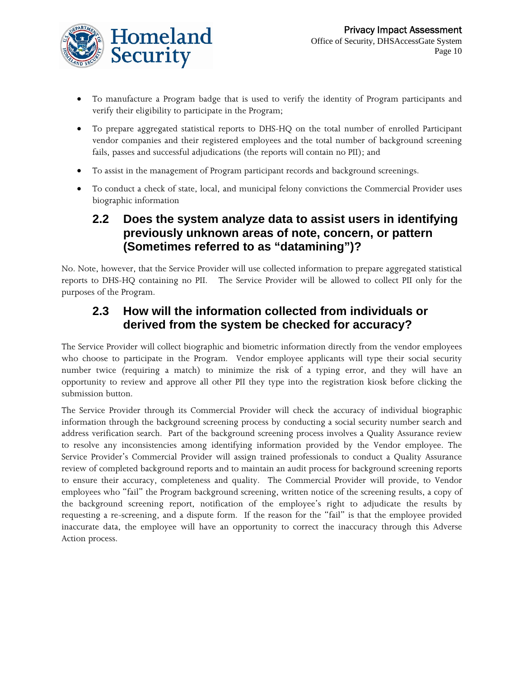

- To manufacture a Program badge that is used to verify the identity of Program participants and verify their eligibility to participate in the Program;
- To prepare aggregated statistical reports to DHS-HQ on the total number of enrolled Participant vendor companies and their registered employees and the total number of background screening fails, passes and successful adjudications (the reports will contain no PII); and
- To assist in the management of Program participant records and background screenings.
- To conduct a check of state, local, and municipal felony convictions the Commercial Provider uses biographic information

#### **2.2 Does the system analyze data to assist users in identifying previously unknown areas of note, concern, or pattern (Sometimes referred to as "datamining")?**

No. Note, however, that the Service Provider will use collected information to prepare aggregated statistical reports to DHS-HQ containing no PII. The Service Provider will be allowed to collect PII only for the purposes of the Program.

### **2.3 How will the information collected from individuals or derived from the system be checked for accuracy?**

The Service Provider will collect biographic and biometric information directly from the vendor employees who choose to participate in the Program. Vendor employee applicants will type their social security number twice (requiring a match) to minimize the risk of a typing error, and they will have an opportunity to review and approve all other PII they type into the registration kiosk before clicking the submission button.

The Service Provider through its Commercial Provider will check the accuracy of individual biographic information through the background screening process by conducting a social security number search and address verification search. Part of the background screening process involves a Quality Assurance review to resolve any inconsistencies among identifying information provided by the Vendor employee. The Service Provider's Commercial Provider will assign trained professionals to conduct a Quality Assurance review of completed background reports and to maintain an audit process for background screening reports to ensure their accuracy, completeness and quality. The Commercial Provider will provide, to Vendor employees who "fail" the Program background screening, written notice of the screening results, a copy of the background screening report, notification of the employee's right to adjudicate the results by requesting a re-screening, and a dispute form. If the reason for the "fail" is that the employee provided inaccurate data, the employee will have an opportunity to correct the inaccuracy through this Adverse Action process.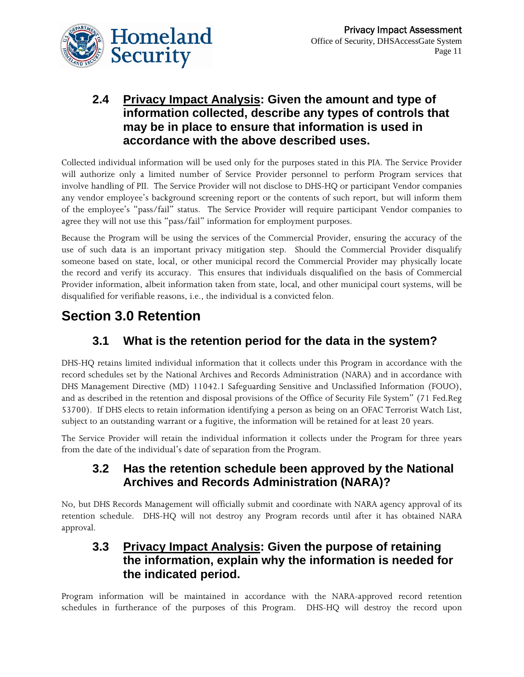

#### **2.4 Privacy Impact Analysis: Given the amount and type of information collected, describe any types of controls that may be in place to ensure that information is used in accordance with the above described uses.**

Collected individual information will be used only for the purposes stated in this PIA. The Service Provider will authorize only a limited number of Service Provider personnel to perform Program services that involve handling of PII. The Service Provider will not disclose to DHS-HQ or participant Vendor companies any vendor employee's background screening report or the contents of such report, but will inform them of the employee's "pass/fail" status. The Service Provider will require participant Vendor companies to agree they will not use this "pass/fail" information for employment purposes.

Because the Program will be using the services of the Commercial Provider, ensuring the accuracy of the use of such data is an important privacy mitigation step. Should the Commercial Provider disqualify someone based on state, local, or other municipal record the Commercial Provider may physically locate the record and verify its accuracy. This ensures that individuals disqualified on the basis of Commercial Provider information, albeit information taken from state, local, and other municipal court systems, will be disqualified for verifiable reasons, i.e., the individual is a convicted felon.

## **Section 3.0 Retention**

### **3.1 What is the retention period for the data in the system?**

DHS-HQ retains limited individual information that it collects under this Program in accordance with the record schedules set by the National Archives and Records Administration (NARA) and in accordance with DHS Management Directive (MD) 11042.1 Safeguarding Sensitive and Unclassified Information (FOUO), and as described in the retention and disposal provisions of the Office of Security File System" (71 Fed.Reg 53700). If DHS elects to retain information identifying a person as being on an OFAC Terrorist Watch List, subject to an outstanding warrant or a fugitive, the information will be retained for at least 20 years.

The Service Provider will retain the individual information it collects under the Program for three years from the date of the individual's date of separation from the Program.

#### **3.2 Has the retention schedule been approved by the National Archives and Records Administration (NARA)?**

No, but DHS Records Management will officially submit and coordinate with NARA agency approval of its retention schedule. DHS-HQ will not destroy any Program records until after it has obtained NARA approval.

#### **3.3 Privacy Impact Analysis: Given the purpose of retaining the information, explain why the information is needed for the indicated period.**

Program information will be maintained in accordance with the NARA-approved record retention schedules in furtherance of the purposes of this Program. DHS-HQ will destroy the record upon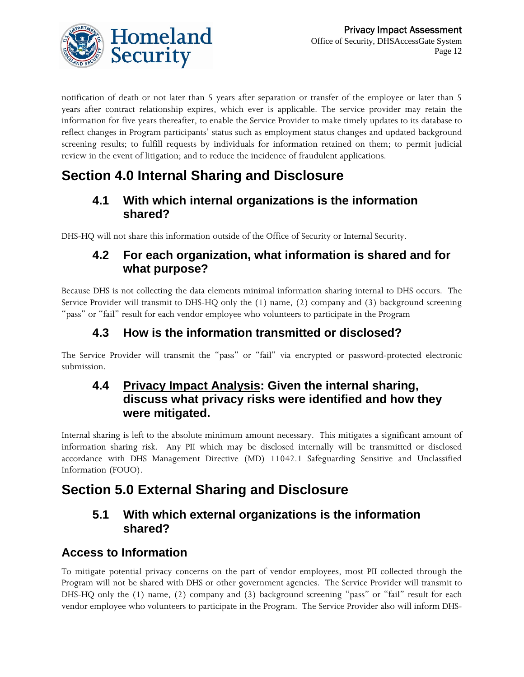

notification of death or not later than 5 years after separation or transfer of the employee or later than 5 years after contract relationship expires, which ever is applicable. The service provider may retain the information for five years thereafter, to enable the Service Provider to make timely updates to its database to reflect changes in Program participants' status such as employment status changes and updated background screening results; to fulfill requests by individuals for information retained on them; to permit judicial review in the event of litigation; and to reduce the incidence of fraudulent applications.

## **Section 4.0 Internal Sharing and Disclosure**

#### **4.1 With which internal organizations is the information shared?**

DHS-HQ will not share this information outside of the Office of Security or Internal Security.

#### **4.2 For each organization, what information is shared and for what purpose?**

Because DHS is not collecting the data elements minimal information sharing internal to DHS occurs. The Service Provider will transmit to DHS-HQ only the (1) name, (2) company and (3) background screening "pass" or "fail" result for each vendor employee who volunteers to participate in the Program

#### **4.3 How is the information transmitted or disclosed?**

The Service Provider will transmit the "pass" or "fail" via encrypted or password-protected electronic submission.

#### **4.4 Privacy Impact Analysis: Given the internal sharing, discuss what privacy risks were identified and how they were mitigated.**

Internal sharing is left to the absolute minimum amount necessary. This mitigates a significant amount of information sharing risk. Any PII which may be disclosed internally will be transmitted or disclosed accordance with DHS Management Directive (MD) 11042.1 Safeguarding Sensitive and Unclassified Information (FOUO).

### **Section 5.0 External Sharing and Disclosure**

#### **5.1 With which external organizations is the information shared?**

### **Access to Information**

To mitigate potential privacy concerns on the part of vendor employees, most PII collected through the Program will not be shared with DHS or other government agencies. The Service Provider will transmit to DHS-HQ only the (1) name, (2) company and (3) background screening "pass" or "fail" result for each vendor employee who volunteers to participate in the Program. The Service Provider also will inform DHS-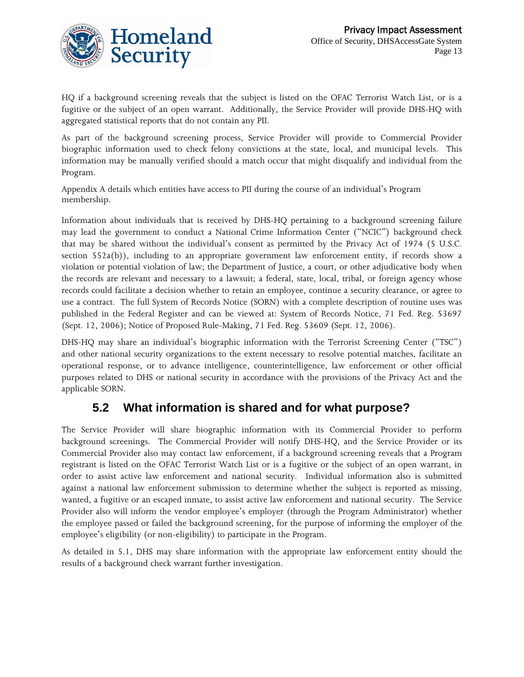

HQ if a background screening reveals that the subject is listed on the OFAC Terrorist Watch List, or is a fugitive or the subject of an open warrant. Additionally, the Service Provider will provide DHS-HQ with aggregated statistical reports that do not contain any PII.

As part of the background screening process, Service Provider will provide to Commercial Provider biographic information used to check felony convictions at the state, local, and municipal levels. This information may be manually verified should a match occur that might disqualify and individual from the Program.

Appendix A details which entities have access to PII during the course of an individual's Program membership.

Information about individuals that is received by DHS-HQ pertaining to a background screening failure may lead the government to conduct a National Crime Information Center ("NCIC") background check that may be shared without the individual's consent as permitted by the Privacy Act of 1974 (5 U.S.C. section 552a(b)), including to an appropriate government law enforcement entity, if records show a violation or potential violation of law; the Department of Justice, a court, or other adjudicative body when the records are relevant and necessary to a lawsuit; a federal, state, local, tribal, or foreign agency whose records could facilitate a decision whether to retain an employee, continue a security clearance, or agree to use a contract. The full System of Records Notice (SORN) with a complete description of routine uses was published in the Federal Register and can be viewed at: System of Records Notice, 71 Fed. Reg. 53697 (Sept. 12, 2006); Notice of Proposed Rule-Making, 71 Fed. Reg. 53609 (Sept. 12, 2006).

DHS-HQ may share an individual's biographic information with the Terrorist Screening Center ("TSC") and other national security organizations to the extent necessary to resolve potential matches, facilitate an operational response, or to advance intelligence, counterintelligence, law enforcement or other official purposes related to DHS or national security in accordance with the provisions of the Privacy Act and the applicable SORN.

#### **5.2 What information is shared and for what purpose?**

The Service Provider will share biographic information with its Commercial Provider to perform background screenings. The Commercial Provider will notify DHS-HQ, and the Service Provider or its Commercial Provider also may contact law enforcement, if a background screening reveals that a Program registrant is listed on the OFAC Terrorist Watch List or is a fugitive or the subject of an open warrant, in order to assist active law enforcement and national security. Individual information also is submitted against a national law enforcement submission to determine whether the subject is reported as missing, wanted, a fugitive or an escaped inmate, to assist active law enforcement and national security. The Service Provider also will inform the vendor employee's employer (through the Program Administrator) whether the employee passed or failed the background screening, for the purpose of informing the employer of the employee's eligibility (or non-eligibility) to participate in the Program.

As detailed in 5.1, DHS may share information with the appropriate law enforcement entity should the results of a background check warrant further investigation.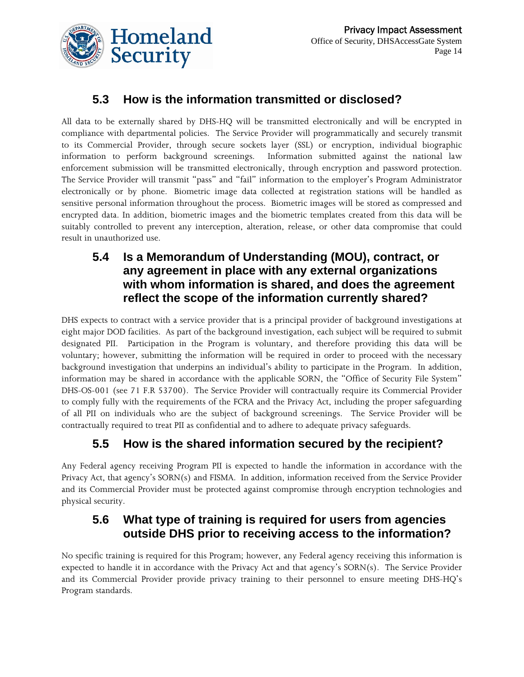

### **5.3 How is the information transmitted or disclosed?**

All data to be externally shared by DHS-HQ will be transmitted electronically and will be encrypted in compliance with departmental policies. The Service Provider will programmatically and securely transmit to its Commercial Provider, through secure sockets layer (SSL) or encryption, individual biographic information to perform background screenings. Information submitted against the national law enforcement submission will be transmitted electronically, through encryption and password protection. The Service Provider will transmit "pass" and "fail" information to the employer's Program Administrator electronically or by phone. Biometric image data collected at registration stations will be handled as sensitive personal information throughout the process. Biometric images will be stored as compressed and encrypted data. In addition, biometric images and the biometric templates created from this data will be suitably controlled to prevent any interception, alteration, release, or other data compromise that could result in unauthorized use.

#### **5.4 Is a Memorandum of Understanding (MOU), contract, or any agreement in place with any external organizations with whom information is shared, and does the agreement reflect the scope of the information currently shared?**

DHS expects to contract with a service provider that is a principal provider of background investigations at eight major DOD facilities. As part of the background investigation, each subject will be required to submit designated PII. Participation in the Program is voluntary, and therefore providing this data will be voluntary; however, submitting the information will be required in order to proceed with the necessary background investigation that underpins an individual's ability to participate in the Program. In addition, information may be shared in accordance with the applicable SORN, the "Office of Security File System" DHS-OS-001 (see 71 F.R 53700). The Service Provider will contractually require its Commercial Provider to comply fully with the requirements of the FCRA and the Privacy Act, including the proper safeguarding of all PII on individuals who are the subject of background screenings. The Service Provider will be contractually required to treat PII as confidential and to adhere to adequate privacy safeguards.

### **5.5 How is the shared information secured by the recipient?**

Any Federal agency receiving Program PII is expected to handle the information in accordance with the Privacy Act, that agency's SORN(s) and FISMA. In addition, information received from the Service Provider and its Commercial Provider must be protected against compromise through encryption technologies and physical security.

### **5.6 What type of training is required for users from agencies outside DHS prior to receiving access to the information?**

No specific training is required for this Program; however, any Federal agency receiving this information is expected to handle it in accordance with the Privacy Act and that agency's SORN(s). The Service Provider and its Commercial Provider provide privacy training to their personnel to ensure meeting DHS-HQ's Program standards.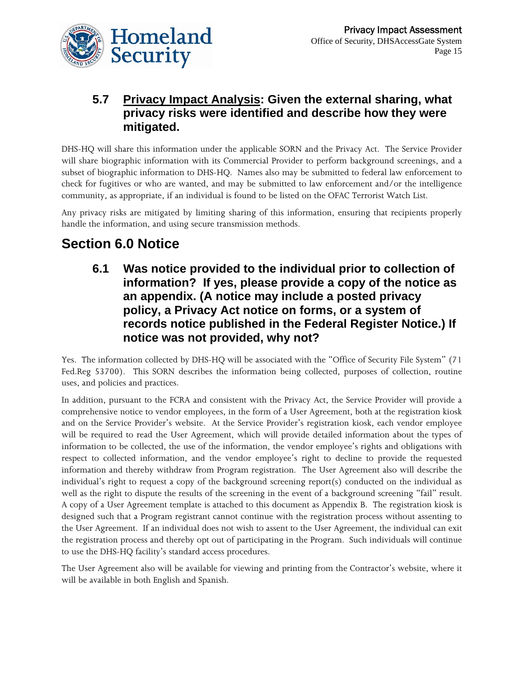

#### **5.7 Privacy Impact Analysis: Given the external sharing, what privacy risks were identified and describe how they were mitigated.**

DHS-HQ will share this information under the applicable SORN and the Privacy Act. The Service Provider will share biographic information with its Commercial Provider to perform background screenings, and a subset of biographic information to DHS-HQ. Names also may be submitted to federal law enforcement to check for fugitives or who are wanted, and may be submitted to law enforcement and/or the intelligence community, as appropriate, if an individual is found to be listed on the OFAC Terrorist Watch List.

Any privacy risks are mitigated by limiting sharing of this information, ensuring that recipients properly handle the information, and using secure transmission methods.

## **Section 6.0 Notice**

**6.1 Was notice provided to the individual prior to collection of information? If yes, please provide a copy of the notice as an appendix. (A notice may include a posted privacy policy, a Privacy Act notice on forms, or a system of records notice published in the Federal Register Notice.) If notice was not provided, why not?** 

Yes. The information collected by DHS-HQ will be associated with the "Office of Security File System" (71 Fed.Reg 53700). This SORN describes the information being collected, purposes of collection, routine uses, and policies and practices.

In addition, pursuant to the FCRA and consistent with the Privacy Act, the Service Provider will provide a comprehensive notice to vendor employees, in the form of a User Agreement, both at the registration kiosk and on the Service Provider's website. At the Service Provider's registration kiosk, each vendor employee will be required to read the User Agreement, which will provide detailed information about the types of information to be collected, the use of the information, the vendor employee's rights and obligations with respect to collected information, and the vendor employee's right to decline to provide the requested information and thereby withdraw from Program registration. The User Agreement also will describe the individual's right to request a copy of the background screening report(s) conducted on the individual as well as the right to dispute the results of the screening in the event of a background screening "fail" result. A copy of a User Agreement template is attached to this document as Appendix B. The registration kiosk is designed such that a Program registrant cannot continue with the registration process without assenting to the User Agreement. If an individual does not wish to assent to the User Agreement, the individual can exit the registration process and thereby opt out of participating in the Program. Such individuals will continue to use the DHS-HQ facility's standard access procedures.

The User Agreement also will be available for viewing and printing from the Contractor's website, where it will be available in both English and Spanish.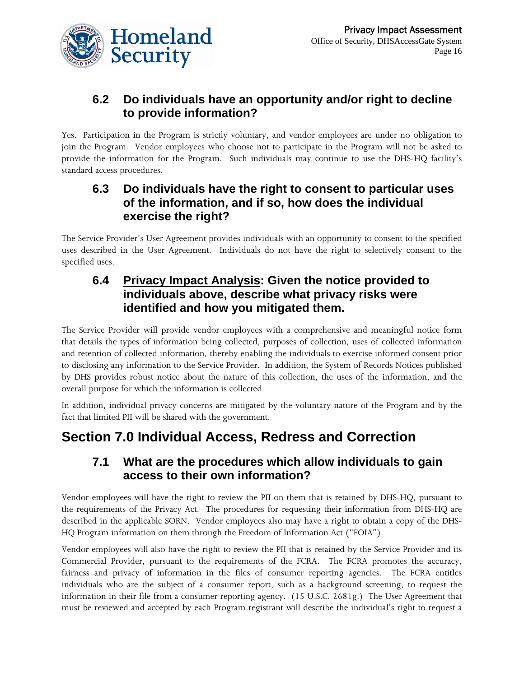

#### **6.2 Do individuals have an opportunity and/or right to decline to provide information?**

Yes. Participation in the Program is strictly voluntary, and vendor employees are under no obligation to join the Program. Vendor employees who choose not to participate in the Program will not be asked to provide the information for the Program. Such individuals may continue to use the DHS-HQ facility's standard access procedures.

#### **6.3 Do individuals have the right to consent to particular uses of the information, and if so, how does the individual exercise the right?**

The Service Provider's User Agreement provides individuals with an opportunity to consent to the specified uses described in the User Agreement. Individuals do not have the right to selectively consent to the specified uses.

#### **6.4 Privacy Impact Analysis: Given the notice provided to individuals above, describe what privacy risks were identified and how you mitigated them.**

The Service Provider will provide vendor employees with a comprehensive and meaningful notice form that details the types of information being collected, purposes of collection, uses of collected information and retention of collected information, thereby enabling the individuals to exercise informed consent prior to disclosing any information to the Service Provider. In addition, the System of Records Notices published by DHS provides robust notice about the nature of this collection, the uses of the information, and the overall purpose for which the information is collected.

In addition, individual privacy concerns are mitigated by the voluntary nature of the Program and by the fact that limited PII will be shared with the government.

### **Section 7.0 Individual Access, Redress and Correction**

#### **7.1 What are the procedures which allow individuals to gain access to their own information?**

Vendor employees will have the right to review the PII on them that is retained by DHS-HQ, pursuant to the requirements of the Privacy Act. The procedures for requesting their information from DHS-HQ are described in the applicable SORN. Vendor employees also may have a right to obtain a copy of the DHS-HQ Program information on them through the Freedom of Information Act ("FOIA").

Vendor employees will also have the right to review the PII that is retained by the Service Provider and its Commercial Provider, pursuant to the requirements of the FCRA. The FCRA promotes the accuracy, fairness and privacy of information in the files of consumer reporting agencies. The FCRA entitles individuals who are the subject of a consumer report, such as a background screening, to request the information in their file from a consumer reporting agency. (15 U.S.C. 2681g.) The User Agreement that must be reviewed and accepted by each Program registrant will describe the individual's right to request a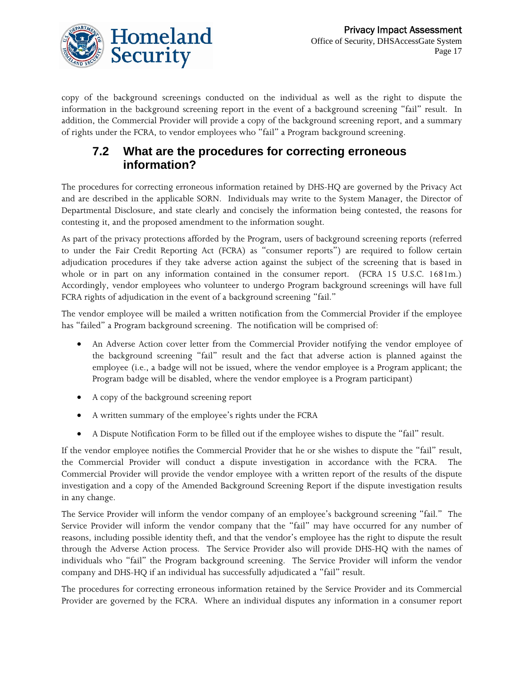

copy of the background screenings conducted on the individual as well as the right to dispute the information in the background screening report in the event of a background screening "fail" result. In addition, the Commercial Provider will provide a copy of the background screening report, and a summary of rights under the FCRA, to vendor employees who "fail" a Program background screening.

#### **7.2 What are the procedures for correcting erroneous information?**

The procedures for correcting erroneous information retained by DHS-HQ are governed by the Privacy Act and are described in the applicable SORN. Individuals may write to the System Manager, the Director of Departmental Disclosure, and state clearly and concisely the information being contested, the reasons for contesting it, and the proposed amendment to the information sought.

As part of the privacy protections afforded by the Program, users of background screening reports (referred to under the Fair Credit Reporting Act (FCRA) as "consumer reports") are required to follow certain adjudication procedures if they take adverse action against the subject of the screening that is based in whole or in part on any information contained in the consumer report. (FCRA 15 U.S.C. 1681m.) Accordingly, vendor employees who volunteer to undergo Program background screenings will have full FCRA rights of adjudication in the event of a background screening "fail."

The vendor employee will be mailed a written notification from the Commercial Provider if the employee has "failed" a Program background screening. The notification will be comprised of:

- An Adverse Action cover letter from the Commercial Provider notifying the vendor employee of the background screening "fail" result and the fact that adverse action is planned against the employee (i.e., a badge will not be issued, where the vendor employee is a Program applicant; the Program badge will be disabled, where the vendor employee is a Program participant)
- A copy of the background screening report
- A written summary of the employee's rights under the FCRA
- A Dispute Notification Form to be filled out if the employee wishes to dispute the "fail" result.

If the vendor employee notifies the Commercial Provider that he or she wishes to dispute the "fail" result, the Commercial Provider will conduct a dispute investigation in accordance with the FCRA. The Commercial Provider will provide the vendor employee with a written report of the results of the dispute investigation and a copy of the Amended Background Screening Report if the dispute investigation results in any change.

The Service Provider will inform the vendor company of an employee's background screening "fail." The Service Provider will inform the vendor company that the "fail" may have occurred for any number of reasons, including possible identity theft, and that the vendor's employee has the right to dispute the result through the Adverse Action process. The Service Provider also will provide DHS-HQ with the names of individuals who "fail" the Program background screening. The Service Provider will inform the vendor company and DHS-HQ if an individual has successfully adjudicated a "fail" result.

The procedures for correcting erroneous information retained by the Service Provider and its Commercial Provider are governed by the FCRA. Where an individual disputes any information in a consumer report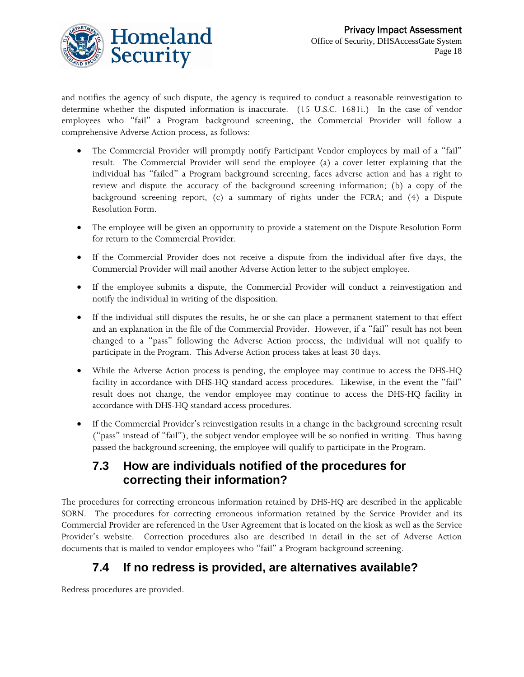

and notifies the agency of such dispute, the agency is required to conduct a reasonable reinvestigation to determine whether the disputed information is inaccurate. (15 U.S.C. 1681i.) In the case of vendor employees who "fail" a Program background screening, the Commercial Provider will follow a comprehensive Adverse Action process, as follows:

- The Commercial Provider will promptly notify Participant Vendor employees by mail of a "fail" result. The Commercial Provider will send the employee (a) a cover letter explaining that the individual has "failed" a Program background screening, faces adverse action and has a right to review and dispute the accuracy of the background screening information; (b) a copy of the background screening report, (c) a summary of rights under the FCRA; and (4) a Dispute Resolution Form.
- The employee will be given an opportunity to provide a statement on the Dispute Resolution Form for return to the Commercial Provider.
- If the Commercial Provider does not receive a dispute from the individual after five days, the Commercial Provider will mail another Adverse Action letter to the subject employee.
- If the employee submits a dispute, the Commercial Provider will conduct a reinvestigation and notify the individual in writing of the disposition.
- If the individual still disputes the results, he or she can place a permanent statement to that effect and an explanation in the file of the Commercial Provider. However, if a "fail" result has not been changed to a "pass" following the Adverse Action process, the individual will not qualify to participate in the Program. This Adverse Action process takes at least 30 days.
- While the Adverse Action process is pending, the employee may continue to access the DHS-HQ facility in accordance with DHS-HQ standard access procedures. Likewise, in the event the "fail" result does not change, the vendor employee may continue to access the DHS-HQ facility in accordance with DHS-HQ standard access procedures.
- If the Commercial Provider's reinvestigation results in a change in the background screening result ("pass" instead of "fail"), the subject vendor employee will be so notified in writing. Thus having passed the background screening, the employee will qualify to participate in the Program.

#### **7.3 How are individuals notified of the procedures for correcting their information?**

The procedures for correcting erroneous information retained by DHS-HQ are described in the applicable SORN. The procedures for correcting erroneous information retained by the Service Provider and its Commercial Provider are referenced in the User Agreement that is located on the kiosk as well as the Service Provider's website. Correction procedures also are described in detail in the set of Adverse Action documents that is mailed to vendor employees who "fail" a Program background screening.

### **7.4 If no redress is provided, are alternatives available?**

Redress procedures are provided.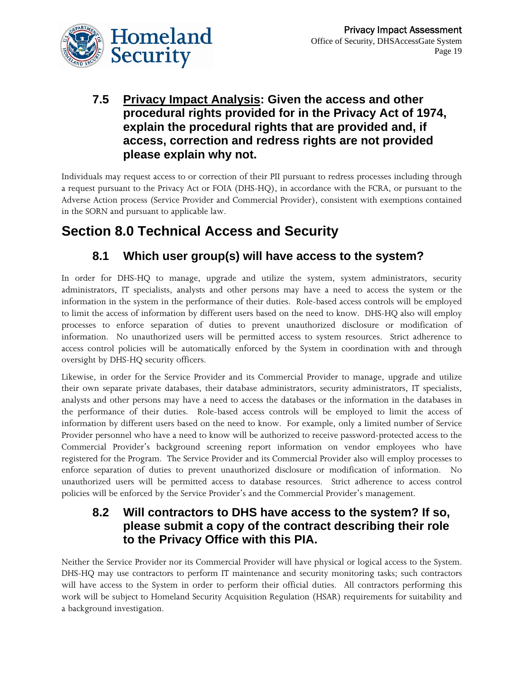

#### **7.5 Privacy Impact Analysis: Given the access and other procedural rights provided for in the Privacy Act of 1974, explain the procedural rights that are provided and, if access, correction and redress rights are not provided please explain why not.**

Individuals may request access to or correction of their PII pursuant to redress processes including through a request pursuant to the Privacy Act or FOIA (DHS-HQ), in accordance with the FCRA, or pursuant to the Adverse Action process (Service Provider and Commercial Provider), consistent with exemptions contained in the SORN and pursuant to applicable law.

## **Section 8.0 Technical Access and Security**

### **8.1 Which user group(s) will have access to the system?**

In order for DHS-HQ to manage, upgrade and utilize the system, system administrators, security administrators, IT specialists, analysts and other persons may have a need to access the system or the information in the system in the performance of their duties. Role-based access controls will be employed to limit the access of information by different users based on the need to know. DHS-HQ also will employ processes to enforce separation of duties to prevent unauthorized disclosure or modification of information. No unauthorized users will be permitted access to system resources. Strict adherence to access control policies will be automatically enforced by the System in coordination with and through oversight by DHS-HQ security officers.

Likewise, in order for the Service Provider and its Commercial Provider to manage, upgrade and utilize their own separate private databases, their database administrators, security administrators, IT specialists, analysts and other persons may have a need to access the databases or the information in the databases in the performance of their duties. Role-based access controls will be employed to limit the access of information by different users based on the need to know. For example, only a limited number of Service Provider personnel who have a need to know will be authorized to receive password-protected access to the Commercial Provider's background screening report information on vendor employees who have registered for the Program. The Service Provider and its Commercial Provider also will employ processes to enforce separation of duties to prevent unauthorized disclosure or modification of information. No unauthorized users will be permitted access to database resources. Strict adherence to access control policies will be enforced by the Service Provider's and the Commercial Provider's management.

#### **8.2 Will contractors to DHS have access to the system? If so, please submit a copy of the contract describing their role to the Privacy Office with this PIA.**

Neither the Service Provider nor its Commercial Provider will have physical or logical access to the System. DHS-HQ may use contractors to perform IT maintenance and security monitoring tasks; such contractors will have access to the System in order to perform their official duties. All contractors performing this work will be subject to Homeland Security Acquisition Regulation (HSAR) requirements for suitability and a background investigation.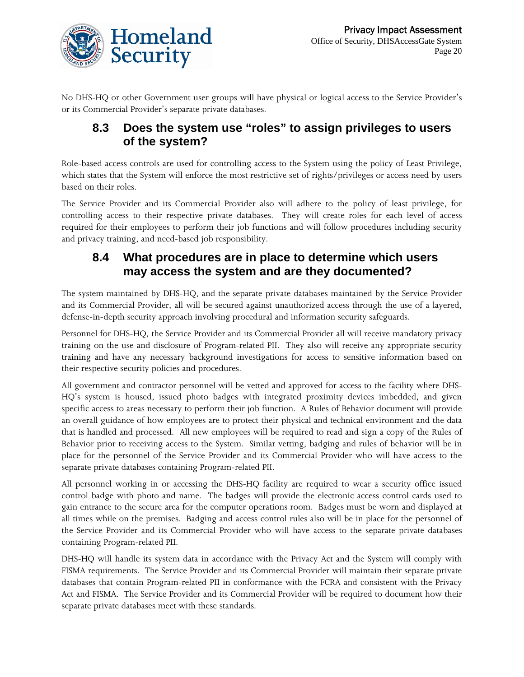

No DHS-HQ or other Government user groups will have physical or logical access to the Service Provider's or its Commercial Provider's separate private databases.

#### **8.3 Does the system use "roles" to assign privileges to users of the system?**

Role-based access controls are used for controlling access to the System using the policy of Least Privilege, which states that the System will enforce the most restrictive set of rights/privileges or access need by users based on their roles.

The Service Provider and its Commercial Provider also will adhere to the policy of least privilege, for controlling access to their respective private databases. They will create roles for each level of access required for their employees to perform their job functions and will follow procedures including security and privacy training, and need-based job responsibility.

### **8.4 What procedures are in place to determine which users may access the system and are they documented?**

The system maintained by DHS-HQ, and the separate private databases maintained by the Service Provider and its Commercial Provider, all will be secured against unauthorized access through the use of a layered, defense-in-depth security approach involving procedural and information security safeguards.

Personnel for DHS-HQ, the Service Provider and its Commercial Provider all will receive mandatory privacy training on the use and disclosure of Program-related PII. They also will receive any appropriate security training and have any necessary background investigations for access to sensitive information based on their respective security policies and procedures.

All government and contractor personnel will be vetted and approved for access to the facility where DHS-HQ's system is housed, issued photo badges with integrated proximity devices imbedded, and given specific access to areas necessary to perform their job function. A Rules of Behavior document will provide an overall guidance of how employees are to protect their physical and technical environment and the data that is handled and processed. All new employees will be required to read and sign a copy of the Rules of Behavior prior to receiving access to the System. Similar vetting, badging and rules of behavior will be in place for the personnel of the Service Provider and its Commercial Provider who will have access to the separate private databases containing Program-related PII.

All personnel working in or accessing the DHS-HQ facility are required to wear a security office issued control badge with photo and name. The badges will provide the electronic access control cards used to gain entrance to the secure area for the computer operations room. Badges must be worn and displayed at all times while on the premises. Badging and access control rules also will be in place for the personnel of the Service Provider and its Commercial Provider who will have access to the separate private databases containing Program-related PII.

DHS-HQ will handle its system data in accordance with the Privacy Act and the System will comply with FISMA requirements. The Service Provider and its Commercial Provider will maintain their separate private databases that contain Program-related PII in conformance with the FCRA and consistent with the Privacy Act and FISMA. The Service Provider and its Commercial Provider will be required to document how their separate private databases meet with these standards.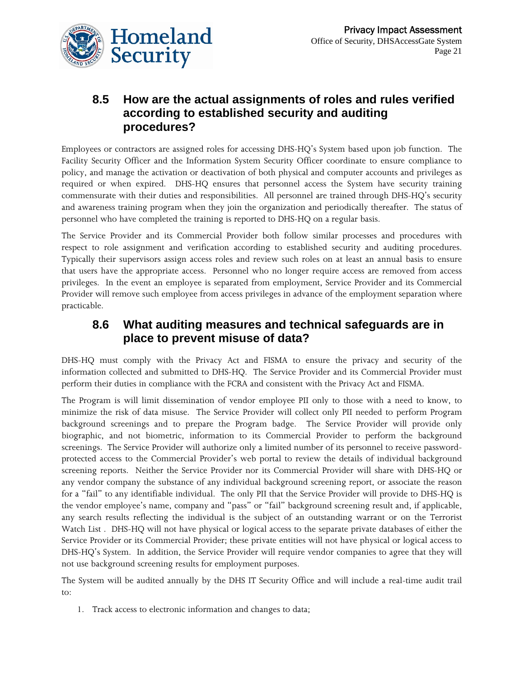

#### **8.5 How are the actual assignments of roles and rules verified according to established security and auditing procedures?**

Employees or contractors are assigned roles for accessing DHS-HQ's System based upon job function. The Facility Security Officer and the Information System Security Officer coordinate to ensure compliance to policy, and manage the activation or deactivation of both physical and computer accounts and privileges as required or when expired. DHS-HQ ensures that personnel access the System have security training commensurate with their duties and responsibilities. All personnel are trained through DHS-HQ's security and awareness training program when they join the organization and periodically thereafter. The status of personnel who have completed the training is reported to DHS-HQ on a regular basis.

The Service Provider and its Commercial Provider both follow similar processes and procedures with respect to role assignment and verification according to established security and auditing procedures. Typically their supervisors assign access roles and review such roles on at least an annual basis to ensure that users have the appropriate access. Personnel who no longer require access are removed from access privileges. In the event an employee is separated from employment, Service Provider and its Commercial Provider will remove such employee from access privileges in advance of the employment separation where practicable.

#### **8.6 What auditing measures and technical safeguards are in place to prevent misuse of data?**

DHS-HQ must comply with the Privacy Act and FISMA to ensure the privacy and security of the information collected and submitted to DHS-HQ. The Service Provider and its Commercial Provider must perform their duties in compliance with the FCRA and consistent with the Privacy Act and FISMA.

The Program is will limit dissemination of vendor employee PII only to those with a need to know, to minimize the risk of data misuse. The Service Provider will collect only PII needed to perform Program background screenings and to prepare the Program badge. The Service Provider will provide only biographic, and not biometric, information to its Commercial Provider to perform the background screenings. The Service Provider will authorize only a limited number of its personnel to receive passwordprotected access to the Commercial Provider's web portal to review the details of individual background screening reports. Neither the Service Provider nor its Commercial Provider will share with DHS-HQ or any vendor company the substance of any individual background screening report, or associate the reason for a "fail" to any identifiable individual. The only PII that the Service Provider will provide to DHS-HQ is the vendor employee's name, company and "pass" or "fail" background screening result and, if applicable, any search results reflecting the individual is the subject of an outstanding warrant or on the Terrorist Watch List . DHS-HQ will not have physical or logical access to the separate private databases of either the Service Provider or its Commercial Provider; these private entities will not have physical or logical access to DHS-HQ's System. In addition, the Service Provider will require vendor companies to agree that they will not use background screening results for employment purposes.

The System will be audited annually by the DHS IT Security Office and will include a real-time audit trail to:

1. Track access to electronic information and changes to data;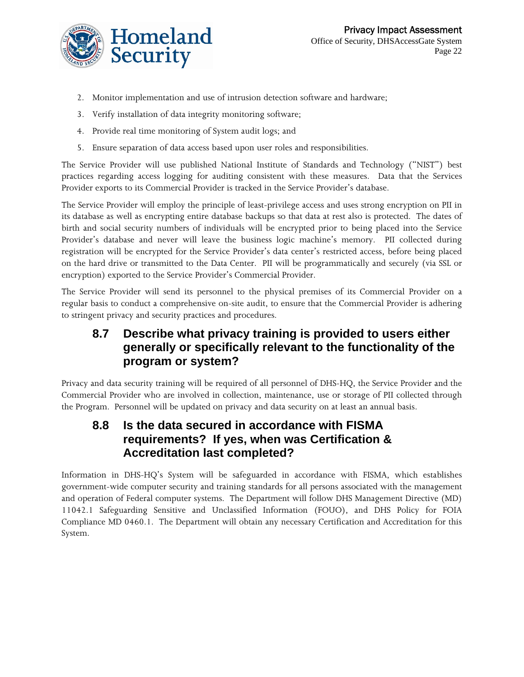

- 2. Monitor implementation and use of intrusion detection software and hardware;
- 3. Verify installation of data integrity monitoring software;
- 4. Provide real time monitoring of System audit logs; and
- 5. Ensure separation of data access based upon user roles and responsibilities.

The Service Provider will use published National Institute of Standards and Technology ("NIST") best practices regarding access logging for auditing consistent with these measures. Data that the Services Provider exports to its Commercial Provider is tracked in the Service Provider's database.

The Service Provider will employ the principle of least-privilege access and uses strong encryption on PII in its database as well as encrypting entire database backups so that data at rest also is protected. The dates of birth and social security numbers of individuals will be encrypted prior to being placed into the Service Provider's database and never will leave the business logic machine's memory. PII collected during registration will be encrypted for the Service Provider's data center's restricted access, before being placed on the hard drive or transmitted to the Data Center. PII will be programmatically and securely (via SSL or encryption) exported to the Service Provider's Commercial Provider.

The Service Provider will send its personnel to the physical premises of its Commercial Provider on a regular basis to conduct a comprehensive on-site audit, to ensure that the Commercial Provider is adhering to stringent privacy and security practices and procedures.

#### **8.7 Describe what privacy training is provided to users either generally or specifically relevant to the functionality of the program or system?**

Privacy and data security training will be required of all personnel of DHS-HQ, the Service Provider and the Commercial Provider who are involved in collection, maintenance, use or storage of PII collected through the Program. Personnel will be updated on privacy and data security on at least an annual basis.

#### **8.8 Is the data secured in accordance with FISMA requirements? If yes, when was Certification & Accreditation last completed?**

Information in DHS-HQ's System will be safeguarded in accordance with FISMA, which establishes government-wide computer security and training standards for all persons associated with the management and operation of Federal computer systems. The Department will follow DHS Management Directive (MD) 11042.1 Safeguarding Sensitive and Unclassified Information (FOUO), and DHS Policy for FOIA Compliance MD 0460.1. The Department will obtain any necessary Certification and Accreditation for this System.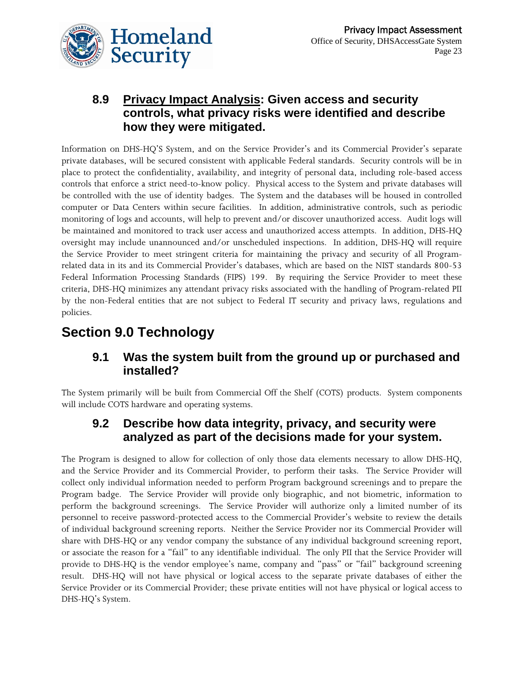### **8.9 Privacy Impact Analysis: Given access and security controls, what privacy risks were identified and describe how they were mitigated.**

Information on DHS-HQ'S System, and on the Service Provider's and its Commercial Provider's separate private databases, will be secured consistent with applicable Federal standards. Security controls will be in place to protect the confidentiality, availability, and integrity of personal data, including role-based access controls that enforce a strict need-to-know policy. Physical access to the System and private databases will be controlled with the use of identity badges. The System and the databases will be housed in controlled computer or Data Centers within secure facilities. In addition, administrative controls, such as periodic monitoring of logs and accounts, will help to prevent and/or discover unauthorized access. Audit logs will be maintained and monitored to track user access and unauthorized access attempts. In addition, DHS-HQ oversight may include unannounced and/or unscheduled inspections. In addition, DHS-HQ will require the Service Provider to meet stringent criteria for maintaining the privacy and security of all Programrelated data in its and its Commercial Provider's databases, which are based on the NIST standards 800-53 Federal Information Processing Standards (FIPS) 199. By requiring the Service Provider to meet these criteria, DHS-HQ minimizes any attendant privacy risks associated with the handling of Program-related PII by the non-Federal entities that are not subject to Federal IT security and privacy laws, regulations and policies.

## **Section 9.0 Technology**

### **9.1 Was the system built from the ground up or purchased and installed?**

The System primarily will be built from Commercial Off the Shelf (COTS) products. System components will include COTS hardware and operating systems.

#### **9.2 Describe how data integrity, privacy, and security were analyzed as part of the decisions made for your system.**

The Program is designed to allow for collection of only those data elements necessary to allow DHS-HQ, and the Service Provider and its Commercial Provider, to perform their tasks. The Service Provider will collect only individual information needed to perform Program background screenings and to prepare the Program badge. The Service Provider will provide only biographic, and not biometric, information to perform the background screenings. The Service Provider will authorize only a limited number of its personnel to receive password-protected access to the Commercial Provider's website to review the details of individual background screening reports. Neither the Service Provider nor its Commercial Provider will share with DHS-HQ or any vendor company the substance of any individual background screening report, or associate the reason for a "fail" to any identifiable individual. The only PII that the Service Provider will provide to DHS-HQ is the vendor employee's name, company and "pass" or "fail" background screening result. DHS-HQ will not have physical or logical access to the separate private databases of either the Service Provider or its Commercial Provider; these private entities will not have physical or logical access to DHS-HQ's System.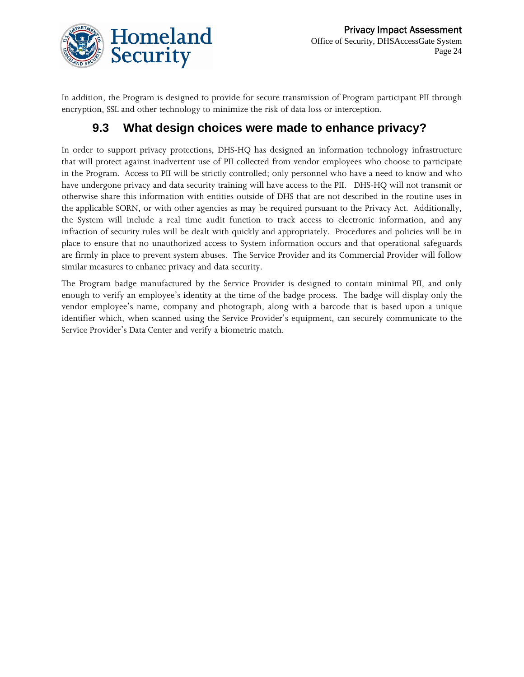

In addition, the Program is designed to provide for secure transmission of Program participant PII through encryption, SSL and other technology to minimize the risk of data loss or interception.

#### **9.3 What design choices were made to enhance privacy?**

In order to support privacy protections, DHS-HQ has designed an information technology infrastructure that will protect against inadvertent use of PII collected from vendor employees who choose to participate in the Program. Access to PII will be strictly controlled; only personnel who have a need to know and who have undergone privacy and data security training will have access to the PII. DHS-HQ will not transmit or otherwise share this information with entities outside of DHS that are not described in the routine uses in the applicable SORN, or with other agencies as may be required pursuant to the Privacy Act. Additionally, the System will include a real time audit function to track access to electronic information, and any infraction of security rules will be dealt with quickly and appropriately. Procedures and policies will be in place to ensure that no unauthorized access to System information occurs and that operational safeguards are firmly in place to prevent system abuses. The Service Provider and its Commercial Provider will follow similar measures to enhance privacy and data security.

The Program badge manufactured by the Service Provider is designed to contain minimal PII, and only enough to verify an employee's identity at the time of the badge process. The badge will display only the vendor employee's name, company and photograph, along with a barcode that is based upon a unique identifier which, when scanned using the Service Provider's equipment, can securely communicate to the Service Provider's Data Center and verify a biometric match.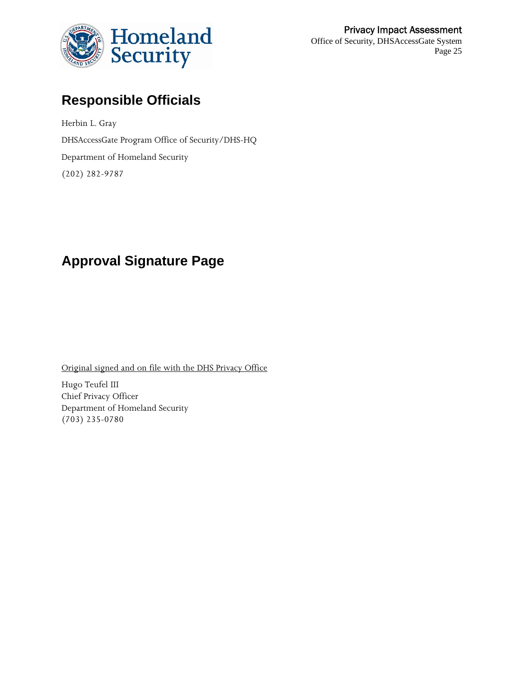

## **Responsible Officials**

Herbin L. Gray DHSAccessGate Program Office of Security/DHS-HQ Department of Homeland Security (202) 282-9787

## **Approval Signature Page**

Original signed and on file with the DHS Privacy Office

Hugo Teufel III Chief Privacy Officer Department of Homeland Security (703) 235-0780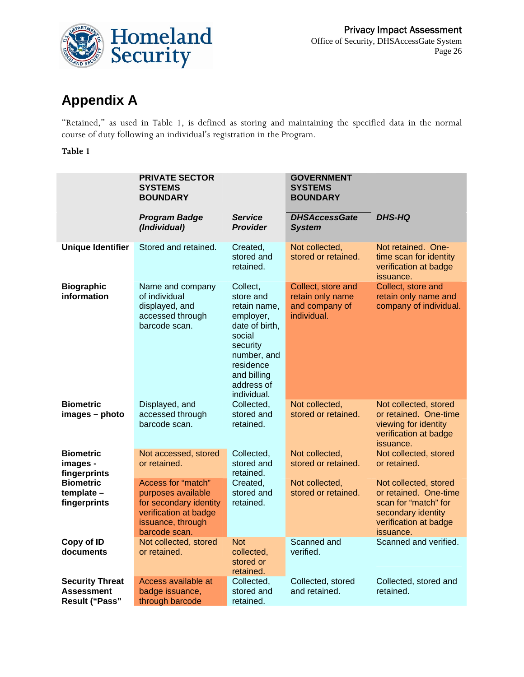

## **Appendix A**

"Retained," as used in Table 1, is defined as storing and maintaining the specified data in the normal course of duty following an individual's registration in the Program.

#### **Table 1**

|                                                               | <b>PRIVATE SECTOR</b><br><b>SYSTEMS</b><br><b>BOUNDARY</b>                                                                        |                                                                                                                                                                    | <b>GOVERNMENT</b><br><b>SYSTEMS</b><br><b>BOUNDARY</b>                  |                                                                                                                                    |
|---------------------------------------------------------------|-----------------------------------------------------------------------------------------------------------------------------------|--------------------------------------------------------------------------------------------------------------------------------------------------------------------|-------------------------------------------------------------------------|------------------------------------------------------------------------------------------------------------------------------------|
|                                                               | <b>Program Badge</b><br>(Individual)                                                                                              | <b>Service</b><br><b>Provider</b>                                                                                                                                  | <b>DHSAccessGate</b><br><b>System</b>                                   | <b>DHS-HQ</b>                                                                                                                      |
| <b>Unique Identifier</b>                                      | Stored and retained.                                                                                                              | Created,<br>stored and<br>retained.                                                                                                                                | Not collected,<br>stored or retained.                                   | Not retained. One-<br>time scan for identity<br>verification at badge<br>issuance.                                                 |
| <b>Biographic</b><br>information                              | Name and company<br>of individual<br>displayed, and<br>accessed through<br>barcode scan.                                          | Collect,<br>store and<br>retain name,<br>employer,<br>date of birth,<br>social<br>security<br>number, and<br>residence<br>and billing<br>address of<br>individual. | Collect, store and<br>retain only name<br>and company of<br>individual. | Collect, store and<br>retain only name and<br>company of individual.                                                               |
| <b>Biometric</b><br>images - photo                            | Displayed, and<br>accessed through<br>barcode scan.                                                                               | Collected,<br>stored and<br>retained.                                                                                                                              | Not collected,<br>stored or retained.                                   | Not collected, stored<br>or retained. One-time<br>viewing for identity<br>verification at badge<br>issuance.                       |
| <b>Biometric</b><br>images -<br>fingerprints                  | Not accessed, stored<br>or retained.                                                                                              | Collected,<br>stored and<br>retained.                                                                                                                              | Not collected,<br>stored or retained.                                   | Not collected, stored<br>or retained.                                                                                              |
| <b>Biometric</b><br>$template -$<br>fingerprints              | Access for "match"<br>purposes available<br>for secondary identity<br>verification at badge<br>issuance, through<br>barcode scan. | Created,<br>stored and<br>retained.                                                                                                                                | Not collected,<br>stored or retained.                                   | Not collected, stored<br>or retained. One-time<br>scan for "match" for<br>secondary identity<br>verification at badge<br>issuance. |
| Copy of ID<br>documents                                       | Not collected, stored<br>or retained.                                                                                             | <b>Not</b><br>collected,<br>stored or<br>retained.                                                                                                                 | Scanned and<br>verified.                                                | Scanned and verified.                                                                                                              |
| <b>Security Threat</b><br><b>Assessment</b><br>Result ("Pass" | Access available at<br>badge issuance,<br>through barcode                                                                         | Collected.<br>stored and<br>retained.                                                                                                                              | Collected, stored<br>and retained.                                      | Collected, stored and<br>retained.                                                                                                 |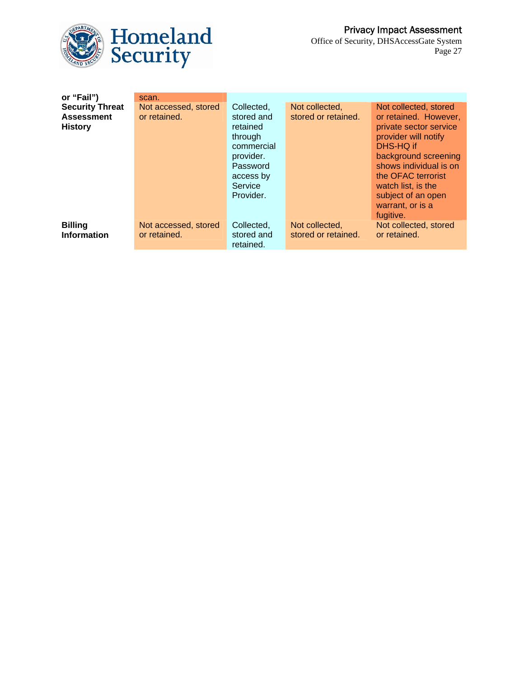

| or "Fail")                                                    | scan.                                |                                                                                                                             |                                       |                                                                                                                                                                                                                                                       |
|---------------------------------------------------------------|--------------------------------------|-----------------------------------------------------------------------------------------------------------------------------|---------------------------------------|-------------------------------------------------------------------------------------------------------------------------------------------------------------------------------------------------------------------------------------------------------|
| <b>Security Threat</b><br><b>Assessment</b><br><b>History</b> | Not accessed, stored<br>or retained. | Collected,<br>stored and<br>retained<br>through<br>commercial<br>provider.<br>Password<br>access by<br>Service<br>Provider. | Not collected,<br>stored or retained. | Not collected, stored<br>or retained. However,<br>private sector service<br>provider will notify<br>DHS-HQ if<br>background screening<br>shows individual is on<br>the OFAC terrorist<br>watch list, is the<br>subject of an open<br>warrant, or is a |
|                                                               |                                      |                                                                                                                             |                                       | fugitive.                                                                                                                                                                                                                                             |
| <b>Billing</b><br><b>Information</b>                          | Not accessed, stored<br>or retained. | Collected,<br>stored and<br>retained.                                                                                       | Not collected,<br>stored or retained. | Not collected, stored<br>or retained.                                                                                                                                                                                                                 |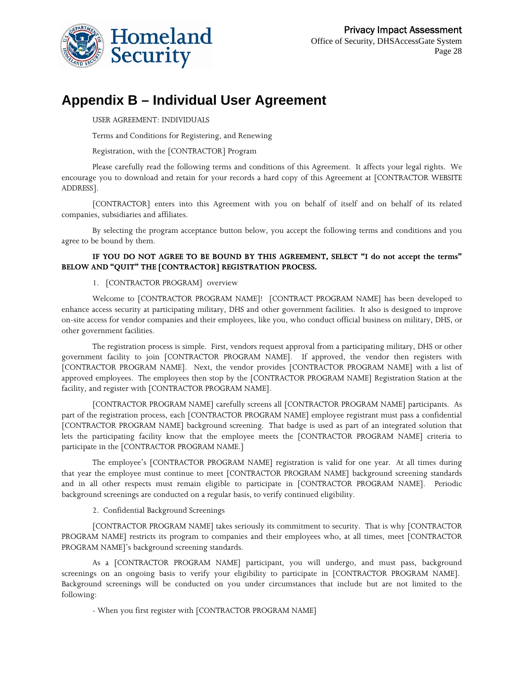

### **Appendix B – Individual User Agreement**

#### USER AGREEMENT: INDIVIDUALS

Terms and Conditions for Registering, and Renewing

#### Registration, with the [CONTRACTOR] Program

Please carefully read the following terms and conditions of this Agreement. It affects your legal rights. We encourage you to download and retain for your records a hard copy of this Agreement at [CONTRACTOR WEBSITE ADDRESS].

[CONTRACTOR] enters into this Agreement with you on behalf of itself and on behalf of its related companies, subsidiaries and affiliates.

By selecting the program acceptance button below, you accept the following terms and conditions and you agree to be bound by them.

#### **IF YOU DO NOT AGREE TO BE BOUND BY THIS AGREEMENT, SELECT "I do not accept the terms" BELOW AND "QUIT" THE [CONTRACTOR] REGISTRATION PROCESS.**

#### 1. [CONTRACTOR PROGRAM] overview

Welcome to [CONTRACTOR PROGRAM NAME]! [CONTRACT PROGRAM NAME] has been developed to enhance access security at participating military, DHS and other government facilities. It also is designed to improve on-site access for vendor companies and their employees, like you, who conduct official business on military, DHS, or other government facilities.

The registration process is simple. First, vendors request approval from a participating military, DHS or other government facility to join [CONTRACTOR PROGRAM NAME]. If approved, the vendor then registers with [CONTRACTOR PROGRAM NAME]. Next, the vendor provides [CONTRACTOR PROGRAM NAME] with a list of approved employees. The employees then stop by the [CONTRACTOR PROGRAM NAME] Registration Station at the facility, and register with [CONTRACTOR PROGRAM NAME].

[CONTRACTOR PROGRAM NAME] carefully screens all [CONTRACTOR PROGRAM NAME] participants. As part of the registration process, each [CONTRACTOR PROGRAM NAME] employee registrant must pass a confidential [CONTRACTOR PROGRAM NAME] background screening. That badge is used as part of an integrated solution that lets the participating facility know that the employee meets the [CONTRACTOR PROGRAM NAME] criteria to participate in the [CONTRACTOR PROGRAM NAME.]

The employee's [CONTRACTOR PROGRAM NAME] registration is valid for one year. At all times during that year the employee must continue to meet [CONTRACTOR PROGRAM NAME] background screening standards and in all other respects must remain eligible to participate in [CONTRACTOR PROGRAM NAME]. Periodic background screenings are conducted on a regular basis, to verify continued eligibility.

2. Confidential Background Screenings

[CONTRACTOR PROGRAM NAME] takes seriously its commitment to security. That is why [CONTRACTOR PROGRAM NAME] restricts its program to companies and their employees who, at all times, meet [CONTRACTOR PROGRAM NAME]'s background screening standards.

As a [CONTRACTOR PROGRAM NAME] participant, you will undergo, and must pass, background screenings on an ongoing basis to verify your eligibility to participate in [CONTRACTOR PROGRAM NAME]. Background screenings will be conducted on you under circumstances that include but are not limited to the following:

- When you first register with [CONTRACTOR PROGRAM NAME]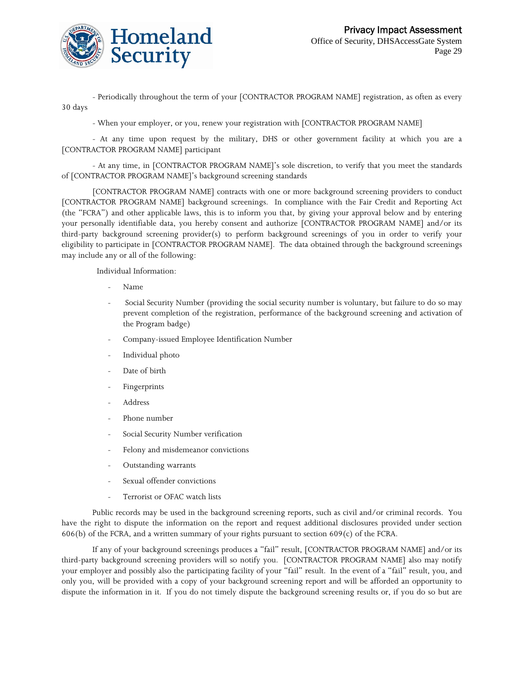

- Periodically throughout the term of your [CONTRACTOR PROGRAM NAME] registration, as often as every 30 days

- When your employer, or you, renew your registration with [CONTRACTOR PROGRAM NAME]

- At any time upon request by the military, DHS or other government facility at which you are a [CONTRACTOR PROGRAM NAME] participant

- At any time, in [CONTRACTOR PROGRAM NAME]'s sole discretion, to verify that you meet the standards of [CONTRACTOR PROGRAM NAME]'s background screening standards

[CONTRACTOR PROGRAM NAME] contracts with one or more background screening providers to conduct [CONTRACTOR PROGRAM NAME] background screenings. In compliance with the Fair Credit and Reporting Act (the "FCRA") and other applicable laws, this is to inform you that, by giving your approval below and by entering your personally identifiable data, you hereby consent and authorize [CONTRACTOR PROGRAM NAME] and/or its third-party background screening provider(s) to perform background screenings of you in order to verify your eligibility to participate in [CONTRACTOR PROGRAM NAME]. The data obtained through the background screenings may include any or all of the following:

Individual Information:

- Name
- Social Security Number (providing the social security number is voluntary, but failure to do so may prevent completion of the registration, performance of the background screening and activation of the Program badge)
- Company-issued Employee Identification Number
- Individual photo
- Date of birth
- Fingerprints
- Address
- Phone number
- Social Security Number verification
- Felony and misdemeanor convictions
- Outstanding warrants
- Sexual offender convictions
- Terrorist or OFAC watch lists

Public records may be used in the background screening reports, such as civil and/or criminal records. You have the right to dispute the information on the report and request additional disclosures provided under section 606(b) of the FCRA, and a written summary of your rights pursuant to section 609(c) of the FCRA.

If any of your background screenings produces a "fail" result, [CONTRACTOR PROGRAM NAME] and/or its third-party background screening providers will so notify you. [CONTRACTOR PROGRAM NAME] also may notify your employer and possibly also the participating facility of your "fail" result. In the event of a "fail" result, you, and only you, will be provided with a copy of your background screening report and will be afforded an opportunity to dispute the information in it. If you do not timely dispute the background screening results or, if you do so but are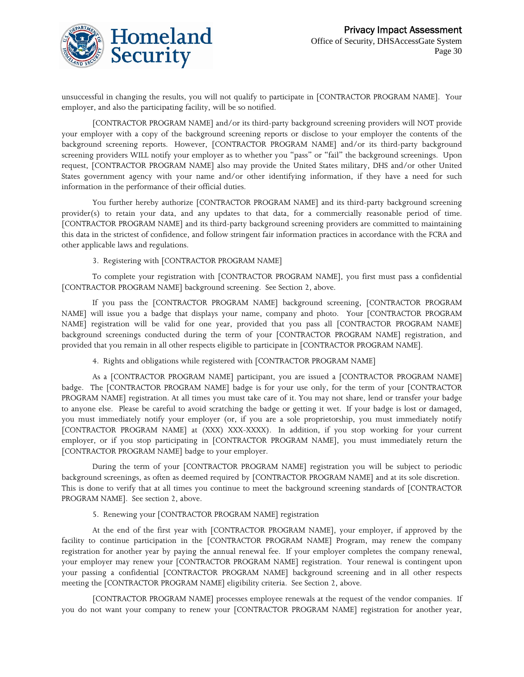

unsuccessful in changing the results, you will not qualify to participate in [CONTRACTOR PROGRAM NAME]. Your employer, and also the participating facility, will be so notified.

[CONTRACTOR PROGRAM NAME] and/or its third-party background screening providers will NOT provide your employer with a copy of the background screening reports or disclose to your employer the contents of the background screening reports. However, [CONTRACTOR PROGRAM NAME] and/or its third-party background screening providers WILL notify your employer as to whether you "pass" or "fail" the background screenings. Upon request, [CONTRACTOR PROGRAM NAME] also may provide the United States military, DHS and/or other United States government agency with your name and/or other identifying information, if they have a need for such information in the performance of their official duties.

You further hereby authorize [CONTRACTOR PROGRAM NAME] and its third-party background screening provider(s) to retain your data, and any updates to that data, for a commercially reasonable period of time. [CONTRACTOR PROGRAM NAME] and its third-party background screening providers are committed to maintaining this data in the strictest of confidence, and follow stringent fair information practices in accordance with the FCRA and other applicable laws and regulations.

#### 3. Registering with [CONTRACTOR PROGRAM NAME]

To complete your registration with [CONTRACTOR PROGRAM NAME], you first must pass a confidential [CONTRACTOR PROGRAM NAME] background screening. See Section 2, above.

If you pass the [CONTRACTOR PROGRAM NAME] background screening, [CONTRACTOR PROGRAM NAME] will issue you a badge that displays your name, company and photo. Your [CONTRACTOR PROGRAM NAME] registration will be valid for one year, provided that you pass all [CONTRACTOR PROGRAM NAME] background screenings conducted during the term of your [CONTRACTOR PROGRAM NAME] registration, and provided that you remain in all other respects eligible to participate in [CONTRACTOR PROGRAM NAME].

4. Rights and obligations while registered with [CONTRACTOR PROGRAM NAME]

As a [CONTRACTOR PROGRAM NAME] participant, you are issued a [CONTRACTOR PROGRAM NAME] badge. The [CONTRACTOR PROGRAM NAME] badge is for your use only, for the term of your [CONTRACTOR PROGRAM NAME] registration. At all times you must take care of it. You may not share, lend or transfer your badge to anyone else. Please be careful to avoid scratching the badge or getting it wet. If your badge is lost or damaged, you must immediately notify your employer (or, if you are a sole proprietorship, you must immediately notify [CONTRACTOR PROGRAM NAME] at (XXX) XXX-XXXX). In addition, if you stop working for your current employer, or if you stop participating in [CONTRACTOR PROGRAM NAME], you must immediately return the [CONTRACTOR PROGRAM NAME] badge to your employer.

During the term of your [CONTRACTOR PROGRAM NAME] registration you will be subject to periodic background screenings, as often as deemed required by [CONTRACTOR PROGRAM NAME] and at its sole discretion. This is done to verify that at all times you continue to meet the background screening standards of [CONTRACTOR PROGRAM NAME]. See section 2, above.

#### 5. Renewing your [CONTRACTOR PROGRAM NAME] registration

At the end of the first year with [CONTRACTOR PROGRAM NAME], your employer, if approved by the facility to continue participation in the [CONTRACTOR PROGRAM NAME] Program, may renew the company registration for another year by paying the annual renewal fee. If your employer completes the company renewal, your employer may renew your [CONTRACTOR PROGRAM NAME] registration. Your renewal is contingent upon your passing a confidential [CONTRACTOR PROGRAM NAME] background screening and in all other respects meeting the [CONTRACTOR PROGRAM NAME] eligibility criteria. See Section 2, above.

[CONTRACTOR PROGRAM NAME] processes employee renewals at the request of the vendor companies. If you do not want your company to renew your [CONTRACTOR PROGRAM NAME] registration for another year,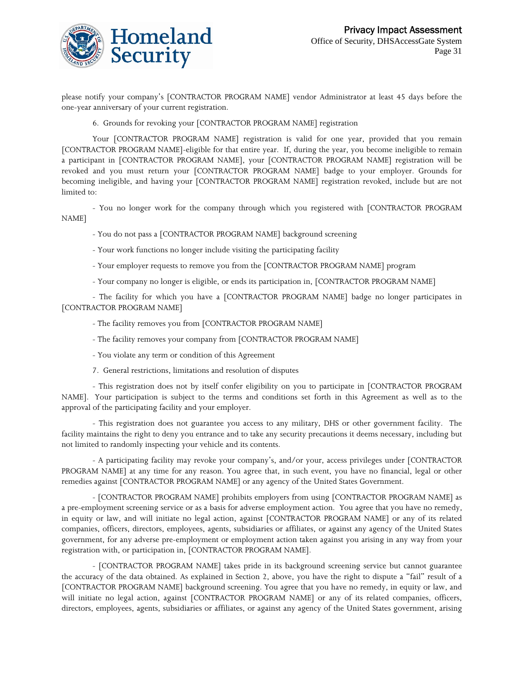

please notify your company's [CONTRACTOR PROGRAM NAME] vendor Administrator at least 45 days before the one-year anniversary of your current registration.

6. Grounds for revoking your [CONTRACTOR PROGRAM NAME] registration

Your [CONTRACTOR PROGRAM NAME] registration is valid for one year, provided that you remain [CONTRACTOR PROGRAM NAME]-eligible for that entire year. If, during the year, you become ineligible to remain a participant in [CONTRACTOR PROGRAM NAME], your [CONTRACTOR PROGRAM NAME] registration will be revoked and you must return your [CONTRACTOR PROGRAM NAME] badge to your employer. Grounds for becoming ineligible, and having your [CONTRACTOR PROGRAM NAME] registration revoked, include but are not limited to:

- You no longer work for the company through which you registered with [CONTRACTOR PROGRAM NAME]

- You do not pass a [CONTRACTOR PROGRAM NAME] background screening

- Your work functions no longer include visiting the participating facility
- Your employer requests to remove you from the [CONTRACTOR PROGRAM NAME] program
- Your company no longer is eligible, or ends its participation in, [CONTRACTOR PROGRAM NAME]

- The facility for which you have a [CONTRACTOR PROGRAM NAME] badge no longer participates in [CONTRACTOR PROGRAM NAME]

- The facility removes you from [CONTRACTOR PROGRAM NAME]
- The facility removes your company from [CONTRACTOR PROGRAM NAME]
- You violate any term or condition of this Agreement
- 7. General restrictions, limitations and resolution of disputes

- This registration does not by itself confer eligibility on you to participate in [CONTRACTOR PROGRAM NAME]. Your participation is subject to the terms and conditions set forth in this Agreement as well as to the approval of the participating facility and your employer.

- This registration does not guarantee you access to any military, DHS or other government facility. The facility maintains the right to deny you entrance and to take any security precautions it deems necessary, including but not limited to randomly inspecting your vehicle and its contents.

- A participating facility may revoke your company's, and/or your, access privileges under [CONTRACTOR PROGRAM NAME] at any time for any reason. You agree that, in such event, you have no financial, legal or other remedies against [CONTRACTOR PROGRAM NAME] or any agency of the United States Government.

- [CONTRACTOR PROGRAM NAME] prohibits employers from using [CONTRACTOR PROGRAM NAME] as a pre-employment screening service or as a basis for adverse employment action. You agree that you have no remedy, in equity or law, and will initiate no legal action, against [CONTRACTOR PROGRAM NAME] or any of its related companies, officers, directors, employees, agents, subsidiaries or affiliates, or against any agency of the United States government, for any adverse pre-employment or employment action taken against you arising in any way from your registration with, or participation in, [CONTRACTOR PROGRAM NAME].

- [CONTRACTOR PROGRAM NAME] takes pride in its background screening service but cannot guarantee the accuracy of the data obtained. As explained in Section 2, above, you have the right to dispute a "fail" result of a [CONTRACTOR PROGRAM NAME] background screening. You agree that you have no remedy, in equity or law, and will initiate no legal action, against [CONTRACTOR PROGRAM NAME] or any of its related companies, officers, directors, employees, agents, subsidiaries or affiliates, or against any agency of the United States government, arising